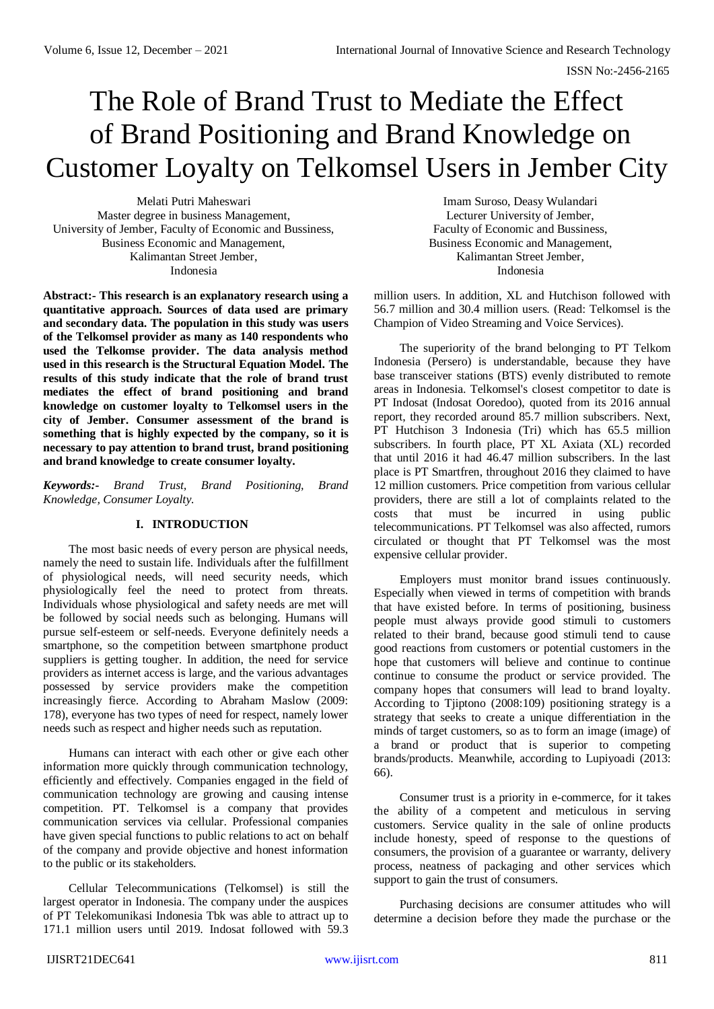# The Role of Brand Trust to Mediate the Effect of Brand Positioning and Brand Knowledge on Customer Loyalty on Telkomsel Users in Jember City

Melati Putri Maheswari Master degree in business Management, University of Jember, Faculty of Economic and Bussiness, Business Economic and Management, Kalimantan Street Jember, Indonesia

**Abstract:- This research is an explanatory research using a quantitative approach. Sources of data used are primary and secondary data. The population in this study was users of the Telkomsel provider as many as 140 respondents who used the Telkomse provider. The data analysis method used in this research is the Structural Equation Model. The results of this study indicate that the role of brand trust mediates the effect of brand positioning and brand knowledge on customer loyalty to Telkomsel users in the city of Jember. Consumer assessment of the brand is something that is highly expected by the company, so it is necessary to pay attention to brand trust, brand positioning and brand knowledge to create consumer loyalty.**

*Keywords:- Brand Trust, Brand Positioning, Brand Knowledge, Consumer Loyalty.*

# **I. INTRODUCTION**

The most basic needs of every person are physical needs, namely the need to sustain life. Individuals after the fulfillment of physiological needs, will need security needs, which physiologically feel the need to protect from threats. Individuals whose physiological and safety needs are met will be followed by social needs such as belonging. Humans will pursue self-esteem or self-needs. Everyone definitely needs a smartphone, so the competition between smartphone product suppliers is getting tougher. In addition, the need for service providers as internet access is large, and the various advantages possessed by service providers make the competition increasingly fierce. According to Abraham Maslow (2009: 178), everyone has two types of need for respect, namely lower needs such as respect and higher needs such as reputation.

Humans can interact with each other or give each other information more quickly through communication technology, efficiently and effectively. Companies engaged in the field of communication technology are growing and causing intense competition. PT. Telkomsel is a company that provides communication services via cellular. Professional companies have given special functions to public relations to act on behalf of the company and provide objective and honest information to the public or its stakeholders.

Cellular Telecommunications (Telkomsel) is still the largest operator in Indonesia. The company under the auspices of PT Telekomunikasi Indonesia Tbk was able to attract up to 171.1 million users until 2019. Indosat followed with 59.3

Imam Suroso, Deasy Wulandari Lecturer University of Jember, Faculty of Economic and Bussiness, Business Economic and Management, Kalimantan Street Jember, Indonesia

million users. In addition, XL and Hutchison followed with 56.7 million and 30.4 million users. (Read: Telkomsel is the Champion of Video Streaming and Voice Services).

The superiority of the brand belonging to PT Telkom Indonesia (Persero) is understandable, because they have base transceiver stations (BTS) evenly distributed to remote areas in Indonesia. Telkomsel's closest competitor to date is PT Indosat (Indosat Ooredoo), quoted from its 2016 annual report, they recorded around 85.7 million subscribers. Next, PT Hutchison 3 Indonesia (Tri) which has 65.5 million subscribers. In fourth place, PT XL Axiata (XL) recorded that until 2016 it had 46.47 million subscribers. In the last place is PT Smartfren, throughout 2016 they claimed to have 12 million customers. Price competition from various cellular providers, there are still a lot of complaints related to the costs that must be incurred in using public telecommunications. PT Telkomsel was also affected, rumors circulated or thought that PT Telkomsel was the most expensive cellular provider.

Employers must monitor brand issues continuously. Especially when viewed in terms of competition with brands that have existed before. In terms of positioning, business people must always provide good stimuli to customers related to their brand, because good stimuli tend to cause good reactions from customers or potential customers in the hope that customers will believe and continue to continue continue to consume the product or service provided. The company hopes that consumers will lead to brand loyalty. According to Tjiptono (2008:109) positioning strategy is a strategy that seeks to create a unique differentiation in the minds of target customers, so as to form an image (image) of a brand or product that is superior to competing brands/products. Meanwhile, according to Lupiyoadi (2013: 66).

Consumer trust is a priority in e-commerce, for it takes the ability of a competent and meticulous in serving customers. Service quality in the sale of online products include honesty, speed of response to the questions of consumers, the provision of a guarantee or warranty, delivery process, neatness of packaging and other services which support to gain the trust of consumers.

Purchasing decisions are consumer attitudes who will determine a decision before they made the purchase or the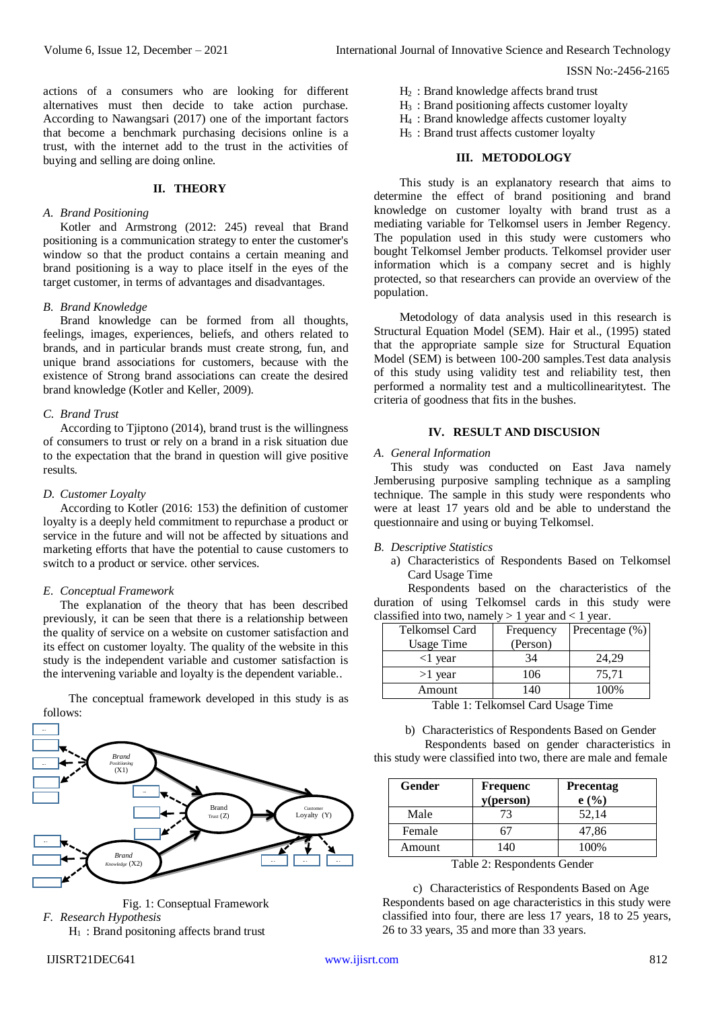H<sup>2</sup> : Brand knowledge affects brand trust H<sup>3</sup> : Brand positioning affects customer loyalty H<sup>4</sup> : Brand knowledge affects customer loyalty  $H<sub>5</sub>$ : Brand trust affects customer loyalty

population.

**III. METODOLOGY**

This study is an explanatory research that aims to determine the effect of brand positioning and brand knowledge on customer loyalty with brand trust as a mediating variable for Telkomsel users in Jember Regency. The population used in this study were customers who bought Telkomsel Jember products. Telkomsel provider user information which is a company secret and is highly protected, so that researchers can provide an overview of the

Metodology of data analysis used in this research is Structural Equation Model (SEM). Hair et al., (1995) stated that the appropriate sample size for Structural Equation Model (SEM) is between 100-200 samples.Test data analysis of this study using validity test and reliability test, then performed a normality test and a multicollinearitytest. The

**IV. RESULT AND DISCUSION**

This study was conducted on East Java namely Jemberusing purposive sampling technique as a sampling technique. The sample in this study were respondents who were at least 17 years old and be able to understand the

a) Characteristics of Respondents Based on Telkomsel

Frequency (Person)

Precentage  $\overline{(%)}$ 

Respondents based on the characteristics of the duration of using Telkomsel cards in this study were

ISSN No:-2456-2165

actions of a consumers who are looking for different alternatives must then decide to take action purchase. According to Nawangsari (2017) one of the important factors that become a benchmark purchasing decisions online is a trust, with the internet add to the trust in the activities of buying and selling are doing online.

#### **II. THEORY**

#### *A. Brand Positioning*

Kotler and Armstrong (2012: 245) reveal that Brand positioning is a communication strategy to enter the customer's window so that the product contains a certain meaning and brand positioning is a way to place itself in the eyes of the target customer, in terms of advantages and disadvantages.

#### *B. Brand Knowledge*

Brand knowledge can be formed from all thoughts, feelings, images, experiences, beliefs, and others related to brands, and in particular brands must create strong, fun, and unique brand associations for customers, because with the existence of Strong brand associations can create the desired brand knowledge (Kotler and Keller, 2009).

#### *C. Brand Trust*

According to Tjiptono (2014), brand trust is the willingness of consumers to trust or rely on a brand in a risk situation due to the expectation that the brand in question will give positive results.

#### *D. Customer Loyalty*

According to Kotler (2016: 153) the definition of customer loyalty is a deeply held commitment to repurchase a product or service in the future and will not be affected by situations and marketing efforts that have the potential to cause customers to switch to a product or service. other services.

#### *E. Conceptual Framework*

The explanation of the theory that has been described previously, it can be seen that there is a relationship between the quality of service on a website on customer satisfaction and its effect on customer loyalty. The quality of the website in this study is the independent variable and customer satisfaction is the intervening variable and loyalty is the dependent variable..

The conceptual framework developed in this study is as follows:





 $H_1$ : Brand positoning affects brand trust

Amount 140 100%

criteria of goodness that fits in the bushes.

questionnaire and using or buying Telkomsel.

classified into two, namely > 1 year and < 1 year.

*A. General Information*

*B. Descriptive Statistics*

Telkomsel Card Usage Time

Card Usage Time

Table 1: Telkomsel Card Usage Time

 $\lt 1$  year  $\lt 34$  24,29  $>1$  year 106 75,71

b) Characteristics of Respondents Based on Gender Respondents based on gender characteristics in this study were classified into two, there are male and female

| Gender | <b>Frequenc</b><br>$y$ (person) | <b>Precentag</b><br>e(%) |
|--------|---------------------------------|--------------------------|
| Male   | 73                              | 52,14                    |
| Female | h.                              | 47,86                    |
| Amount | 140                             | 100%                     |

Table 2: Respondents Gender

c) Characteristics of Respondents Based on Age Respondents based on age characteristics in this study were classified into four, there are less 17 years, 18 to 25 years, 26 to 33 years, 35 and more than 33 years.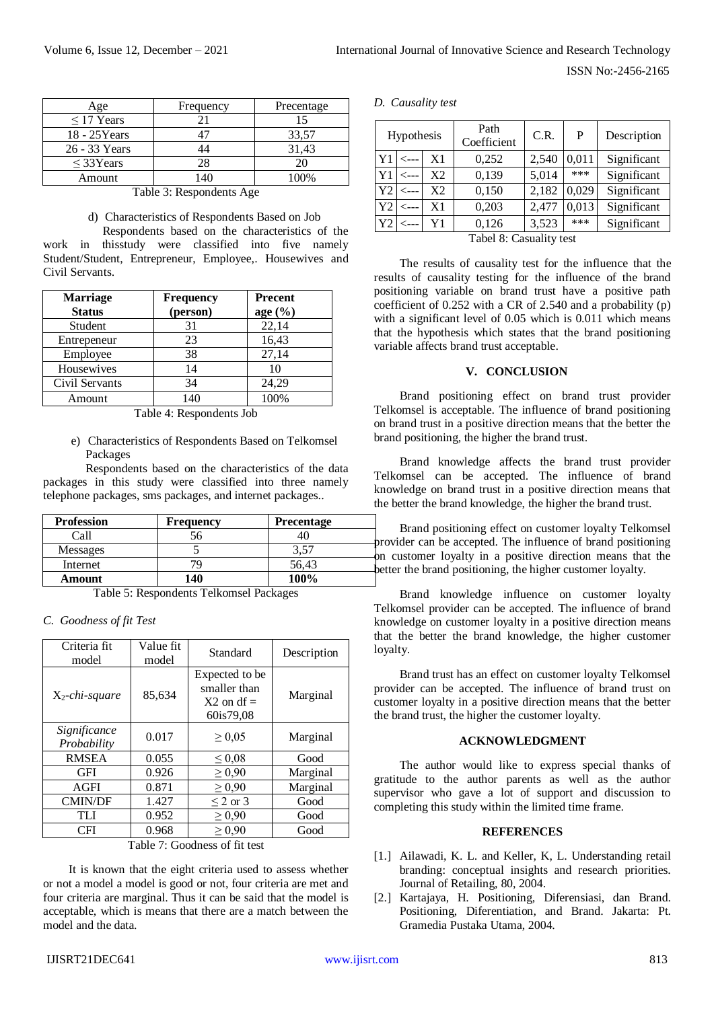ISSN No:-2456-2165

| Age             | Frequency | Precentage |  |
|-----------------|-----------|------------|--|
| $\leq$ 17 Years |           |            |  |
| 18 - 25 Years   |           | 33,57      |  |
| 26 - 33 Years   |           | 31,43      |  |
| $<$ 33Years     | 78        | 20         |  |
| Amount          |           | 100%       |  |

Table 3: Respondents Age

d) Characteristics of Respondents Based on Job

Respondents based on the characteristics of the work in thisstudy were classified into five namely Student/Student, Entrepreneur, Employee,. Housewives and Civil Servants.

| <b>Marriage</b><br><b>Status</b> | <b>Frequency</b><br>(person) | <b>Precent</b><br>age $(\%)$ |
|----------------------------------|------------------------------|------------------------------|
| Student                          | 31                           | 22,14                        |
| Entrepeneur                      | 23                           | 16,43                        |
| Employee                         | 38                           | 27,14                        |
| Housewives                       | 14                           | 10                           |
| Civil Servants                   | 34                           | 24,29                        |
| Amount                           | 140                          | 100%                         |

Table 4: Respondents Job

e) Characteristics of Respondents Based on Telkomsel Packages

Respondents based on the characteristics of the data packages in this study were classified into three namely telephone packages, sms packages, and internet packages..

| <b>Profession</b> | <b>Frequency</b> | <b>Precentage</b> |  |
|-------------------|------------------|-------------------|--|
| ∹al               |                  |                   |  |
| <b>Messages</b>   |                  | 3.57              |  |
| Internet          |                  | 56,43             |  |
| Amount            | 140              | 100%              |  |

Table 5: Respondents Telkomsel Packages

*C. Goodness of fit Test*

| Criteria fit<br>model       | Value fit<br>model | Standard                                                    | Description |
|-----------------------------|--------------------|-------------------------------------------------------------|-------------|
| $X_2$ -chi-square           | 85,634             | Expected to be<br>smaller than<br>$X2$ on df =<br>60is79,08 | Marginal    |
| Significance<br>Probability | 0.017              | $\geq 0.05$                                                 | Marginal    |
| <b>RMSEA</b>                | 0.055              | $\leq 0.08$                                                 | Good        |
| GFI                         | 0.926              | $\geq 0.90$                                                 | Marginal    |
| <b>AGFI</b>                 | 0.871              | $\geq 0.90$                                                 | Marginal    |
| <b>CMIN/DF</b>              | 1.427              | $\leq$ 2 or 3                                               | Good        |
| TLI                         | 0.952              | $\geq 0.90$                                                 | Good        |
| <b>CFI</b>                  | 0.968              | $\geq 0.90$                                                 | Good        |

Table 7: Goodness of fit test

It is known that the eight criteria used to assess whether or not a model a model is good or not, four criteria are met and four criteria are marginal. Thus it can be said that the model is acceptable, which is means that there are a match between the model and the data.

## *D. Causality test*

|                | Hypothesis              |    | Path<br>Coefficient | C.R.  | P     | Description |
|----------------|-------------------------|----|---------------------|-------|-------|-------------|
| Y <sub>1</sub> | $\leftarrow$ --         | X1 | 0,252               | 2,540 | 0,011 | Significant |
| Y <sub>1</sub> | <---                    | X2 | 0,139               | 5,014 | ***   | Significant |
| Y <sub>2</sub> | ←−−−                    | X2 | 0,150               | 2,182 | 0,029 | Significant |
| Y <sub>2</sub> | $\leftarrow -$          | X1 | 0,203               | 2,477 | 0,013 | Significant |
| Y2             | ⊂---                    | Y1 | 0,126               | 3,523 | ***   | Significant |
|                | Tabel 8: Casuality test |    |                     |       |       |             |

The results of causality test for the influence that the results of causality testing for the influence of the brand positioning variable on brand trust have a positive path coefficient of 0.252 with a CR of 2.540 and a probability (p) with a significant level of 0.05 which is 0.011 which means that the hypothesis which states that the brand positioning variable affects brand trust acceptable.

# **V. CONCLUSION**

Brand positioning effect on brand trust provider Telkomsel is acceptable. The influence of brand positioning on brand trust in a positive direction means that the better the brand positioning, the higher the brand trust.

Brand knowledge affects the brand trust provider Telkomsel can be accepted. The influence of brand knowledge on brand trust in a positive direction means that the better the brand knowledge, the higher the brand trust.

Brand positioning effect on customer loyalty Telkomsel vider can be accepted. The influence of brand positioning customer loyalty in a positive direction means that the er the brand positioning, the higher customer loyalty.

Brand knowledge influence on customer loyalty Telkomsel provider can be accepted. The influence of brand knowledge on customer loyalty in a positive direction means that the better the brand knowledge, the higher customer loyalty.

Brand trust has an effect on customer loyalty Telkomsel provider can be accepted. The influence of brand trust on customer loyalty in a positive direction means that the better the brand trust, the higher the customer loyalty.

## **ACKNOWLEDGMENT**

The author would like to express special thanks of gratitude to the author parents as well as the author supervisor who gave a lot of support and discussion to completing this study within the limited time frame.

#### **REFERENCES**

- [1.] Ailawadi, K. L. and Keller, K. L. Understanding retail branding: conceptual insights and research priorities. Journal of Retailing, 80, 2004.
- [2.] Kartajaya, H. Positioning, Diferensiasi, dan Brand. Positioning, Diferentiation, and Brand. Jakarta: Pt. Gramedia Pustaka Utama, 2004.